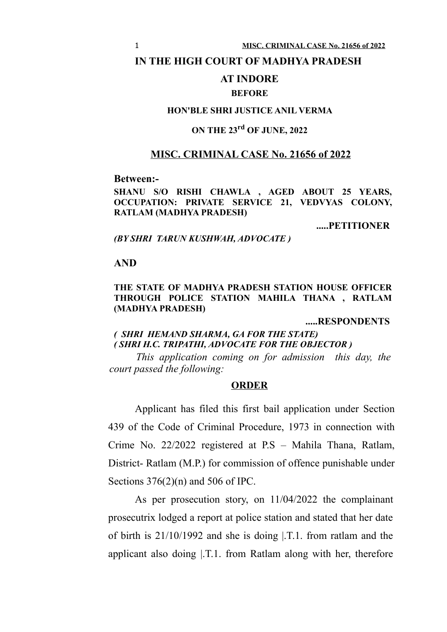### **IN THE HIGH COURT OF MADHYA PRADESH**

# **AT INDORE**

### **BEFORE**

## **HON'BLE SHRI JUSTICE ANIL VERMA**

# **ON THE 23rd OF JUNE, 2022**

# **MISC. CRIMINAL CASE No. 21656 of 2022**

**Between:-**

**SHANU S/O RISHI CHAWLA , AGED ABOUT 25 YEARS, OCCUPATION: PRIVATE SERVICE 21, VEDVYAS COLONY, RATLAM (MADHYA PRADESH)**

**.....PETITIONER**

*(BY SHRI TARUN KUSHWAH, ADVOCATE )*

#### **AND**

### **THE STATE OF MADHYA PRADESH STATION HOUSE OFFICER THROUGH POLICE STATION MAHILA THANA , RATLAM (MADHYA PRADESH)**

**.....RESPONDENTS**

## *( SHRI HEMAND SHARMA, GA FOR THE STATE) ( SHRI H.C. TRIPATHI, ADVOCATE FOR THE OBJECTOR )*

*This application coming on for admission this day, the court passed the following:*

### **ORDER**

Applicant has filed this first bail application under Section 439 of the Code of Criminal Procedure, 1973 in connection with Crime No. 22/2022 registered at P.S – Mahila Thana, Ratlam, District- Ratlam (M.P.) for commission of offence punishable under Sections  $376(2)(n)$  and 506 of IPC.

As per prosecution story, on 11/04/2022 the complainant prosecutrix lodged a report at police station and stated that her date of birth is 21/10/1992 and she is doing |.T.1. from ratlam and the applicant also doing |.T.1. from Ratlam along with her, therefore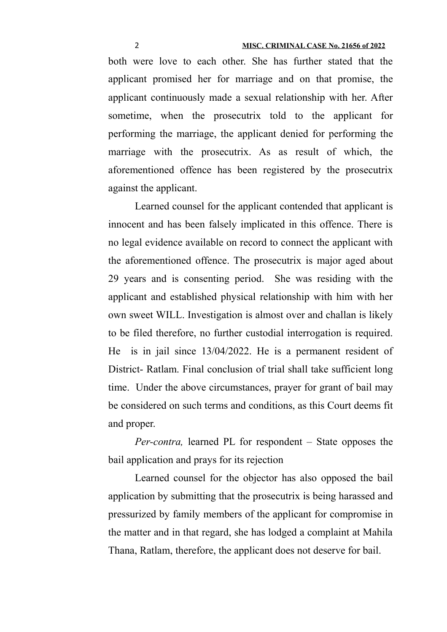both were love to each other. She has further stated that the applicant promised her for marriage and on that promise, the applicant continuously made a sexual relationship with her. After sometime, when the prosecutrix told to the applicant for performing the marriage, the applicant denied for performing the marriage with the prosecutrix. As as result of which, the aforementioned offence has been registered by the prosecutrix against the applicant.

Learned counsel for the applicant contended that applicant is innocent and has been falsely implicated in this offence. There is no legal evidence available on record to connect the applicant with the aforementioned offence. The prosecutrix is major aged about 29 years and is consenting period. She was residing with the applicant and established physical relationship with him with her own sweet WILL. Investigation is almost over and challan is likely to be filed therefore, no further custodial interrogation is required. He is in jail since 13/04/2022. He is a permanent resident of District- Ratlam. Final conclusion of trial shall take sufficient long time. Under the above circumstances, prayer for grant of bail may be considered on such terms and conditions, as this Court deems fit and proper.

*Per-contra,* learned PL for respondent – State opposes the bail application and prays for its rejection

Learned counsel for the objector has also opposed the bail application by submitting that the prosecutrix is being harassed and pressurized by family members of the applicant for compromise in the matter and in that regard, she has lodged a complaint at Mahila Thana, Ratlam, therefore, the applicant does not deserve for bail.